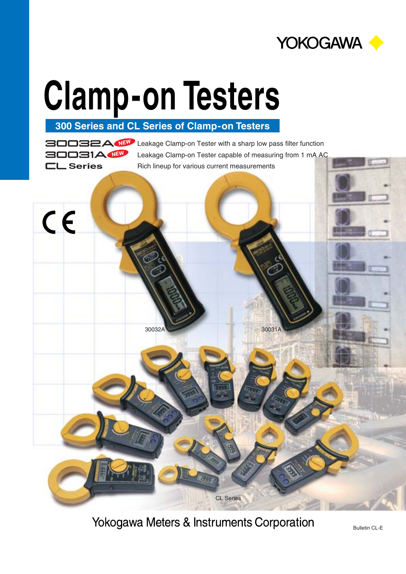

**300 Series and CL Series of Clamp-on Testers**

Leakage Clamp-on Tester with a sharp low pass filter function **NEW** Leakage Clamp-on Tester capable of measuring from 1 mA AC **CL Series** Rich lineup for various current measurements **BOOB1A NEW** 



30032A 30031A

Yokogawa Meters & Instruments Corporation

CL Series

Bulletin CL-E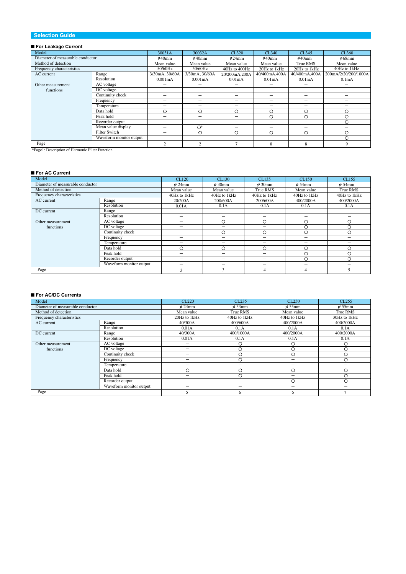#### **Selection Guide**

#### ■ **For Leakage Current**

| Model                            |                         | 30031A         | 30032A                   | CL320               | CL340                    | CL345                    | CL360                    |
|----------------------------------|-------------------------|----------------|--------------------------|---------------------|--------------------------|--------------------------|--------------------------|
| Diameter of measurable conductor |                         | $\varphi$ 40mm | $\varphi$ 40mm           | $\varnothing$ 24mm  | $\varnothing$ 40mm       | $\varphi$ 40mm           | $\varnothing$ 68mm       |
| Method of detection              |                         | Mean value     | Mean value               | Mean value          | Mean value               | True RMS                 | Mean value               |
| Frequency characteristics        |                         | 50/60Hz        | 50/60Hz                  | 40Hz to 400Hz       | 20Hz to 1kHz             | 20Hz to 1kHz             | 40Hz to 1kHz             |
| AC current                       | Range                   | 3/30mA, 30/60A | 3/30mA, 30/60A           | 20/200mA.200A       | 40/400mA,400A            | 40/400mA,400A            | 200mA/2/20/200/1000A     |
|                                  | Resolution              | 0.001mA        | 0.001mA                  | 0.01 <sub>m</sub> A | 0.01 <sub>m</sub> A      | 0.01 <sub>m</sub> A      | 0.1 <sub>m</sub> A       |
| Other measurement                | AC voltage              | -              | -                        | -                   |                          | $\overline{\phantom{0}}$ | -                        |
| functions                        | DC voltage              | -              | -                        | -                   | -                        | $\overline{\phantom{0}}$ | $\overline{\phantom{0}}$ |
|                                  | Continuity check        | -              | -                        | -                   | -                        | $\overline{\phantom{0}}$ | -                        |
|                                  | Frequency               | -              | -                        | -                   | $\overline{\phantom{a}}$ | $\overline{\phantom{0}}$ | -                        |
|                                  | Temperature             | -              | -                        | -                   | $\overline{\phantom{a}}$ | -                        | -                        |
|                                  | Data hold               | O              | O                        | O                   | $\circ$                  | O                        | $\circ$                  |
|                                  | Peak hold               | -              | $\overline{\phantom{0}}$ | -                   | ◯                        | O                        | $\circ$                  |
|                                  | Recorder output         | -              | -                        | -                   | -                        | $\overline{\phantom{0}}$ | $\circ$                  |
|                                  | Mean value display      | -              | $O^*$                    | -                   | -                        | -                        | -                        |
|                                  | <b>Filter Switch</b>    | -              | О                        | О                   | $\circ$                  | $\circ$                  | $\circ$                  |
|                                  | Waveform monitor output | -              |                          | -                   | -                        | -                        | O                        |
| Page                             |                         | $\overline{c}$ | $\overline{c}$           | $\overline{ }$      | 8                        | 8                        | 9                        |

\*Page1: Description of Harmonic Filter Function

#### ■ **For AC Current**

| Model                            |                         | CL120              | CL130                    | CL135              | CL150                    | CL155                    |
|----------------------------------|-------------------------|--------------------|--------------------------|--------------------|--------------------------|--------------------------|
| Diameter of measurable conductor |                         | $\varnothing$ 24mm | $\varnothing$ 30mm       | $\varnothing$ 30mm | $\varnothing$ 54mm       | $\varnothing$ 54mm       |
| Method of detection              |                         | Mean value         | Mean value               | True RMS           | Mean value               | True RMS                 |
| Frequency characteristics        |                         | 40Hz to 1kHz       | 40Hz to 1kHz             | 40Hz to 1kHz       | 40Hz to 1kHz             | 40Hz to 1kHz             |
| AC current                       | Range                   | 20/200A            | 200/600A                 | 200/600A           | 400/2000A                | 400/2000A                |
|                                  | Resolution              | 0.01A              | 0.1A                     | 0.1A               | 0.1A                     | 0.1A                     |
| DC current                       | Range                   | -                  | $\overline{\phantom{0}}$ | -                  | $\overline{\phantom{0}}$ | $\overline{\phantom{a}}$ |
|                                  | Resolution              | -                  | $\overline{\phantom{0}}$ | -                  | $\overline{\phantom{0}}$ | -                        |
| Other measurement                | AC voltage              | -                  | $\circ$                  | ∩                  | O                        | O                        |
| functions                        | DC voltage              | -                  | $\overline{\phantom{0}}$ | -                  | O                        | O                        |
|                                  | Continuity check        | -                  | $\circ$                  | $\bigcirc$         | $\circ$                  | O                        |
|                                  | Frequency               | -                  | $\overline{\phantom{0}}$ | -                  | $\overline{\phantom{0}}$ |                          |
|                                  | Temperature             | -                  | $\overline{\phantom{0}}$ | -                  | $\overline{\phantom{0}}$ | -                        |
|                                  | Data hold               | O                  | $\circ$                  | $\circ$            | $\circ$                  | O                        |
|                                  | Peak hold               | -                  | $\overline{\phantom{0}}$ | -                  | O                        | O                        |
|                                  | Recorder output         | -                  | -                        | -                  | Ο                        | $\circ$                  |
|                                  | Waveform monitor output | -                  | -                        | -                  | -                        | -                        |
| Page                             |                         | 3                  | 3                        | 4                  | 4                        | 5                        |

#### ■ **For AC/DC Currents**

| Model                            |                         | CL220                    | CL235              | CL250              | CL <sub>255</sub>  |
|----------------------------------|-------------------------|--------------------------|--------------------|--------------------|--------------------|
| Diameter of measurable conductor |                         | $\varnothing$ 24mm       | $\varnothing$ 33mm | $\varnothing$ 55mm | $\varnothing$ 55mm |
| Method of detection              |                         | Mean value               | True RMS           | Mean value         | True RMS           |
| Frequency characteristics        |                         | 20Hz to 1kHz             | 40Hz to 1kHz       | 40Hz to 1kHz       | 30Hz to 1kHz       |
| AC current                       | Range                   | 40/300A                  | 400/600A           | 400/2000A          | 400/2000A          |
|                                  | Resolution              | 0.01A                    | 0.1A               | 0.1A               | 0.1A               |
| DC current                       | Range                   | 40/300A                  | 400/1000A          | 400/2000A          | 400/2000A          |
|                                  | Resolution              | 0.01A                    | 0.1A               | 0.1A               | 0.1A               |
| Other measurement                | AC voltage              | $\overline{\phantom{0}}$ | O                  | О                  |                    |
| functions                        | DC voltage              | $\overline{\phantom{0}}$ | Ο                  | $\circ$            |                    |
|                                  | Continuity check        | $\overline{\phantom{0}}$ | Ο                  | O                  |                    |
|                                  | Frequency               | $\overline{\phantom{m}}$ | O                  | -                  | ∩                  |
|                                  | Temperature             | $\overline{\phantom{0}}$ | -                  | -                  | -                  |
|                                  | Data hold               | $\circ$                  | O                  | Ο                  |                    |
|                                  | Peak hold               | $\overline{\phantom{a}}$ | Ō                  | -                  |                    |
|                                  | Recorder output         | -                        | -                  | О                  |                    |
|                                  | Waveform monitor output | $\overline{\phantom{0}}$ | -                  | -                  |                    |
| Page                             |                         | 5                        | 6                  | 6                  |                    |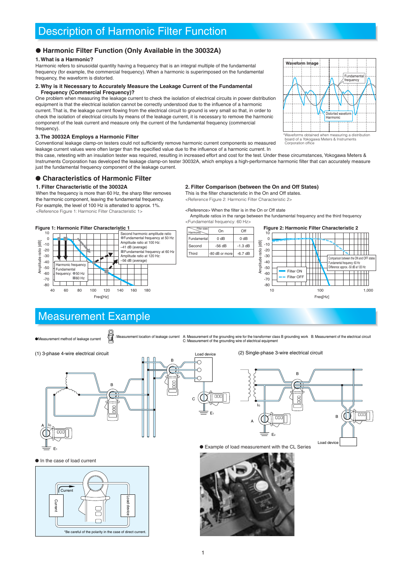## Description of Harmonic Filter Function

#### **Harmonic Filter Function (Only Available in the 30032A)**

#### **1. What is a Harmonic?**

Harmonic refers to sinusoidal quantity having a frequency that is an integral multiple of the fundamental frequency (for example, the commercial frequency). When a harmonic is superimposed on the fundamental frequency, the waveform is distorted.

#### **2. Why is it Necessary to Accurately Measure the Leakage Current of the Fundamental Frequency (Commercial Frequency)?**

One problem when measuring the leakage current to check the isolation of electrical circuits in power distribution equipment is that the electrical isolation cannot be correctly understood due to the influence of a harmonic current. That is, the leakage current flowing from the electrical circuit to ground is very small so that, in order to check the isolation of electrical circuits by means of the leakage current, it is necessary to remove the harmonic component of the leak current and measure only the current of the fundamental frequency (commercial frequency).

#### **3. The 30032A Employs a Harmonic Filter**

Conventional leakage clamp-on testers could not sufficiently remove harmonic current components so measured leakage current values were often larger than the specified value due to the influence of a harmonic current. In

this case, retesting with an insulation tester was required, resulting in increased effort and cost for the test. Under these circumstances, Yokogawa Meters & Instruments Corporation has developed the leakage clamp-on tester 30032A, which employs a high-performance harmonic filter that can accurately measure just the fundamental frequency component of the leakage current.

#### **Characteristics of Harmonic Filter**

#### **1. Filter Characteristic of the 30032A**

When the frequency is more than 60 Hz, the sharp filter removes the harmonic component, leaving the fundamental frequency. For example, the level of 100 Hz is attenated to approx. 1%. <Reference Figure 1: Harmonic Filter Characteristic 1>

#### **Figure 1: Harmonic Filter Characteristic 1**



**SE** 

#### **2. Filter Comparison (between the On and Off States)**

This is the filter characteristic in the On and Off states. <Reference Figure 2: Harmonic Filter Characteristic 2>

<Reference> When the filter is in the On or Off state

 Amplitude ratios in the range between the fundamental frequency and the third frequency <Fundamental frequency: 60 Hz>



## Measurement Example

Measurement method of leakage current

Measurement location of leakage current A: Measurement of the grounding wire for the transformer class B grounding work B: Measurement of the electrical circuit:<br>C: Measurement of the grounding wire of electrical equipment

(1) 3-phase 4-wire electrical circuit

Current

 $\bullet$  In the case of load current

Current



\*Be careful of the polarity in the case of direct cur

Load device

GNIC

(2) Single-phase 3-wire electrical circuit



Example of load measurement with the CL Series





\*Waveforms obtained when measuring a distribution board of a Yokogawa Meters & Instruments board of a Yokogaw<br>Corporation office

1

E1

Load device

Ŏ Ō €

 $\overline{C}$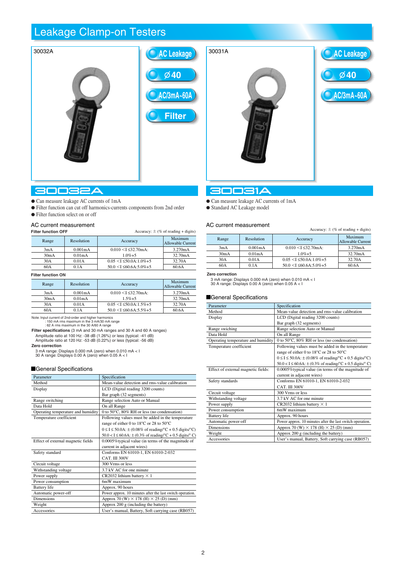## Leakage Clamp-on Testers



#### **30032A**

- Can measure leakage AC currents of 1mA
- Filter function can cut off harmonics-currents components from 2nd order
- Filter function select on or off

#### AC current measurement

| <b>Filter function OFF</b> |  |
|----------------------------|--|

| <b>FIREI IUNGUUN OFF</b> |                      |                                  | $A$ ccuracy. $\pm$ (70 Or reading $\pm$ digits) |
|--------------------------|----------------------|----------------------------------|-------------------------------------------------|
| Range                    | Resolution           | Accuracy                         | Maximum<br><b>Allowable Current</b>             |
| 3mA                      | 0.001 <sub>m</sub> A | $0.010 < I < 32.70$ mA:          | 3.270mA                                         |
| 30mA                     | 0.01 <sub>m</sub> A  | $1.0\% + 5$                      | 32.70mA                                         |
| 30A                      | 0.01A                | $0.05 \leq I \leq 50.0$ A:1.0%+5 | 32.70A                                          |
| 60A                      | 0.1A                 | $50.0 < I \leq 60.6A:5.0\%+5$    | 60.6A                                           |
|                          |                      |                                  |                                                 |

 $\vec{A}$  compared  $\vec{B}$   $\vec{M}$  of  $\vec{B}$  and digital  $\vec{A}$ 

#### **Filter function ON**

| Range | Resolution           | Accuracy                         | Maximum<br><b>Allowable Current</b> |
|-------|----------------------|----------------------------------|-------------------------------------|
| 3mA   | 0.001 <sub>m</sub> A | $0.010 < I \leq 32.70$ mA:       | 3.270mA                             |
| 30mA  | 0.01 <sub>m</sub> A  | $1.5% + 5$                       | 32.70mA                             |
| 30A   | 0.01A                | $0.05 \leq I \leq 50.0$ A:1.5%+5 | 32.70A                              |
| 60A   | 0.1A                 | $50.0 < I \leq 60.6A:5.5\%+5$    | 60.6A                               |

Note: Input current of 2nd-order and higher harmonics : 150 mA rms maximum in the 3 mA/30 mA range : 62 A rms maximum in the 30 A/60 A range

**Filter specifications** (3 mA and 30 mA ranges and 30 A and 60 A ranges) Amplitude ratio at 100 Hz: -38 dB (1.26%) or less (typical: -41 dB) Amplitude ratio at 120 Hz: -53 dB (0.22%) or less (typical: -56 dB)

**Zero correction**

3 mA range: Displays 0.000 mA (zero) when 0.010 mA < I 30 A range: Displays 0.00 A (zero) when 0.05 A < I

#### General Specifications

| Parameter                          | Specification                                                                                                          |
|------------------------------------|------------------------------------------------------------------------------------------------------------------------|
| Method                             | Mean-value detection and rms-value calibration                                                                         |
| Display                            | LCD (Digital reading 3200 counts)                                                                                      |
|                                    | Bar graph (32 segments)                                                                                                |
| Range switching                    | Range selection Auto or Manual                                                                                         |
| Data Hold                          | On all Range                                                                                                           |
| Operating temperature and humidity | 0 to 50°C, 80% RH or less (no condensation)                                                                            |
| Temperature coefficient            | Following values must be added in the temperature                                                                      |
|                                    | range of either 0 to 18°C or 28 to 50°C                                                                                |
|                                    | $0 \leq I \leq 50.0$ A: $\pm$ (0.08% of reading/°C + 0.5 digits/°C)                                                    |
|                                    | $50.0 < I \le 60.6$ A: $\pm (0.3\% \text{ of reading} / {}^{\circ}\text{C} + 0.5 \text{ digits} / {}^{\circ}\text{C})$ |
| Effect of external magnetic fields | 0.0005% typical value (in terms of the magnitude of                                                                    |
|                                    | current in adjacent wires)                                                                                             |
| Safety standard                    | Conforms EN 61010-1, EN 61010-2-032                                                                                    |
|                                    | CAT. III 300V                                                                                                          |
| Circuit voltage                    | 300 Vrms or less                                                                                                       |
| Withstanding voltage               | 3.7 kV AC for one minute                                                                                               |
| Power supply                       | CR2032 lithium battery $\times$ 1                                                                                      |
| Power consumption                  | 6mW maximum                                                                                                            |
| <b>Battery</b> life                | Approx. 90 hours                                                                                                       |
| Automatic power-off                | Power approx. 10 minutes after the last switch operation.                                                              |
| <b>Dimensions</b>                  | Approx 70 (W) $\times$ 178 (H) $\times$ 25 (D) (mm)                                                                    |
| Weight                             | Approx 200 g (including the battery)                                                                                   |
| Accessories                        | User's manual, Battery, Soft carrying case (RB057)                                                                     |



#### **30031A**

- Can measure leakage AC currents of 1mA
- Standard AC Leakage model

#### AC current measurement

| , גווטווטווניווטמטאוטווטוונ |                     |                                  | Accuracy: $\pm$ (% of reading + digits) |
|-----------------------------|---------------------|----------------------------------|-----------------------------------------|
| Range                       | Resolution          | Accuracy                         | Maximum<br><b>Allowable Current</b>     |
| 3mA                         | 0.001mA             | $0.010 < I \leq 32.70$ mA:       | 3.270mA                                 |
| 30mA                        | 0.01 <sub>m</sub> A | $1.0\% + 5$                      | 32.70mA                                 |
| 30A                         | 0.01A               | $0.05 \leq I \leq 50.0$ A:1.0%+5 | 32.70A                                  |
| 60A                         | 0.1A                | $50.0 < I \leq 60.6A:5.0\%+5$    | 60.6A                                   |

**Zero correction**

| Parameter                           | Specification                                                                                                          |
|-------------------------------------|------------------------------------------------------------------------------------------------------------------------|
| Method                              | Mean-value detection and rms-value calibration                                                                         |
| Display                             | LCD (Digital reading 3200 counts)                                                                                      |
|                                     | Bar graph (32 segments)                                                                                                |
| Range swiching                      | Range selection Auto or Manual                                                                                         |
| Data Hold                           | On all Range                                                                                                           |
| Operating temperature and humidity  | 0 to 50°C, 80% RH or less (no condensation)                                                                            |
| Temperature coefficient             | Following values must be added in the temperature                                                                      |
|                                     | range of either 0 to 18°C or 28 to 50°C                                                                                |
|                                     | $0 \leq I \leq 50.0$ A: $\pm$ (0.08% of reading/°C + 0.5 digits/°C)                                                    |
|                                     | $50.0 < I \le 60.6$ A: $\pm (0.3\% \text{ of reading} / {}^{\circ}\text{C} + 0.5 \text{ digits} / {}^{\circ}\text{C})$ |
| Effect of external magnetic fields: | 0.0005% typical value (in terms of the magnitude of                                                                    |
|                                     | current in adjacent wires)                                                                                             |
| Safety standards                    | Conforms EN 61010-1, EN 61010-2-032                                                                                    |
|                                     | CAT. III 300V                                                                                                          |
| Circuit voltage                     | 300 Vrms or less                                                                                                       |
| Withstanding voltage                | 3.7 kV AC for one minute                                                                                               |
| Power supply                        | CR2032 lithium battery $\times$ 1                                                                                      |
| Power consumption                   | 6mW maximum                                                                                                            |
| <b>Battery</b> life                 | Approx. 90 hours                                                                                                       |
| Automatic power-off                 | Power approx. 10 minutes after the last switch operation.                                                              |
| <b>Dimensions</b>                   | Approx 70 (W) $\times$ 178 (H) $\times$ 25 (D) (mm)                                                                    |
| Weight                              | Approx 200 g (including the battery)                                                                                   |
| Accessories                         | User's manual, Battery, Soft carrying case (RB057)                                                                     |

<sup>3</sup> mA range: Displays 0.000 mA (zero) when 0.010 mA < I 30 A range: Displays 0.00 A (zero) when 0.05 A < I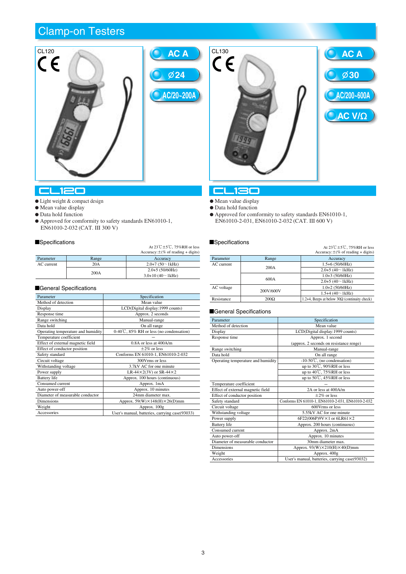





#### $L120$

- $\bullet$  Light weight & compact design
- Mean value display
- Data hold function
- Approved for comformity to safety standards EN61010-1, EN61010-2-032 (CAT. III 300 V)

#### **E**Specifications

|            |       | At $23\degree$ C $\pm$ 5 $\degree$ C, 75%RH or less<br>Accuracy: $\pm$ (% of reading + digits) |
|------------|-------|------------------------------------------------------------------------------------------------|
| Parameter  | Range | Accuracy                                                                                       |
| AC current | 20A   | $2.0+7(50~1kHz)$                                                                               |
|            | 200A  | $2.0+5(50/60)$ Hz)                                                                             |
|            |       | $3.0+10(40~1kHz)$                                                                              |

#### General Specifications

| Parameter                          | Specification                                       |
|------------------------------------|-----------------------------------------------------|
| Method of detection                | Mean value                                          |
| Display                            | LCD(Digital display:1999 counts)                    |
| Response time                      | Approx. 2 seconds                                   |
| Range switching                    | Manual-range                                        |
| Data hold                          | On all range                                        |
| Operating temperature and humidity | $0-40\degree$ , $85\%$ RH or less (no condensation) |
| Temperature coefficient            |                                                     |
| Effect of external magnetic field  | $0.8A$ or less at $400A/m$                          |
| Effect of conductor position       | $\pm 2\%$ or less                                   |
| Safety standard                    | Conforms EN 61010-1, EN61010-2-032                  |
| Circuit voltage                    | 300Vrms or less                                     |
| Withstanding voltage               | 3.7kV AC for one minute                             |
| Power supply                       | LR-44 $\times$ 2(3V) or SR-44 $\times$ 2            |
| <b>Battery</b> life                | Approx. 100 hours (continuous)                      |
| Consumed current                   | Approx. 1mA                                         |
| Auto power-off                     | Approx. 10 minutes                                  |
| Diameter of measurable conductor   | 24mm diameter max.                                  |
| <b>Dimensions</b>                  | Approx. $59(W) \times 148(H) \times 26(D)$ mm       |
| Weight                             | Approx. 100g                                        |
| Accessories                        | User's manual, batteries, carrying case(93033)      |

## $L130$

- $\bullet$  Mean value display
- $\bullet$  Data hold function
- Approved for comformity to safety standards EN61010-1, EN61010-2-031, EN61010-2-032 (CAT. III 600 V)

#### **Specifications**

|            |             | At $23\degree$ C $\pm$ 5 $\degree$ C, 75%RH or less<br>Accuracy: $\pm$ (% of reading + digits) |
|------------|-------------|------------------------------------------------------------------------------------------------|
| Parameter  | Range       | Accuracy                                                                                       |
| AC current |             | $1.5+6(50/60)Hz$                                                                               |
|            | 200A        | $2.0+5(40~1kHz)$                                                                               |
|            |             | $1.0+3(50/60Hz)$                                                                               |
|            | 600A        | $2.0+5(40-1kHz)$                                                                               |
| AC voltage |             | $1.0+2(50/60Hz)$                                                                               |
|            | 200V/600V   | $1.5+4$ (40 $\sim$ 1kHz)                                                                       |
| Resistance | $200\Omega$ | 1.2+4, Beeps at below $30\Omega$ (continuity check)                                            |

| Parameter                          | Specification                                     |
|------------------------------------|---------------------------------------------------|
| Method of detection                | Mean value                                        |
| Display                            | LCD(Digital display:1999 counts)                  |
| Response time                      | Approx. 1 second                                  |
|                                    | (approx. 2 seconds on resistance renge)           |
| Range switching                    | Manual-range                                      |
| Data hold                          | On all range                                      |
| Operating temperature and humidity | $-10-50$ °C, (no condensation)                    |
|                                    | up to 30℃, 90%RH or less                          |
|                                    | up to 40℃, 75%RH or less                          |
|                                    | up to 50℃, 45%RH or less                          |
| Temperature coefficient            |                                                   |
| Effect of external magnetic field  | 2A or less at 400A/m                              |
| Effect of conductor position       | $+2\%$ or less                                    |
| Safety standard                    | Conforms EN 61010-1, EN61010-2-031, EN61010-2-032 |
| Circuit voltage                    | 600Vrms or less                                   |
| Withstanding voltage               | 5.55kV AC for one minute                          |
| Power supply                       | 6F22(006P)9V×1 or 6LR61×2                         |
| <b>Battery</b> life                | Approx. 200 hours (continuous)                    |
| Consumed current                   | Approx. 2mA                                       |
| Auto power-off                     | Approx. 10 minutes                                |
| Diameter of measurable conductor   | 30mm diameter max.                                |
| <b>Dimensions</b>                  | Approx. $93(W) \times 210(H) \times 40(D)$ mm     |
| Weight                             | Approx. 400g                                      |
| Accessories                        | User's manual, batteries, carrying case(93032)    |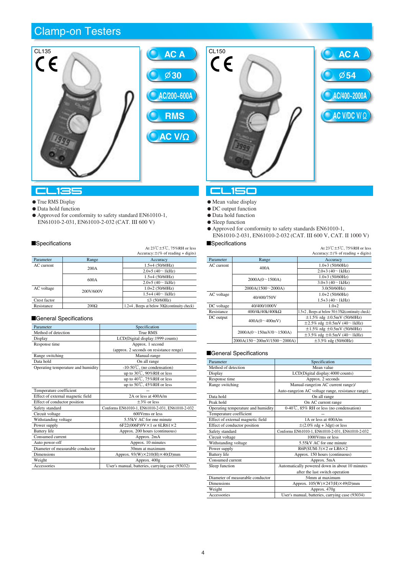



**54**

#### **CL135**

- $\bullet$  True RMS Display
- $\bullet$  Data hold function
- Approved for comformity to safety standard EN61010-1, EN61010-2-031, EN61010-2-032 (CAT. III 600 V)

## Specifications  $A_1 23^\circ C + 5^\circ C$ , 75%RH or less

|              |             | At $23 \cup 13 \cup 13$ / $\sqrt{3}$ (KH of less<br>Accuracy: $\pm$ (% of reading + digits) |
|--------------|-------------|---------------------------------------------------------------------------------------------|
| Parameter    | Range       | Accuracy                                                                                    |
| AC current   |             | $1.5+4(50/60)Hz$                                                                            |
|              | 200A        | $2.0+5(40~1kHz)$                                                                            |
|              | 600A        | $1.5+4(50/60)Hz$                                                                            |
|              |             | $2.0+5(40~1kHz)$                                                                            |
| AC voltage   | 200V/600V   | $1.0+2(50/60Hz)$                                                                            |
|              |             | $1.5+4(40~1kHz)$                                                                            |
| Crest factor |             | ≤3 (50/60Hz)                                                                                |
| Resistance   | $200\Omega$ | 1.2+4, Beeps at below $30\Omega$ (continuity check)                                         |

#### General Specifications

| Parameter                          | Specification                                    |
|------------------------------------|--------------------------------------------------|
| Method of detection                | <b>True RMS</b>                                  |
| Display                            | LCD(Digital display:1999 counts)                 |
| Response time                      | Approx. 1 second                                 |
|                                    | (approx. 2 seconds on resistance renge)          |
| Range switching                    | Manual-range                                     |
| Data hold                          | On all range                                     |
| Operating temperature and humidity | $-10-50\degree$ C, (no condensation)             |
|                                    | up to $30^{\circ}$ C, $90\%$ RH or less          |
|                                    | up to $40^{\circ}$ C, 75%RH or less              |
|                                    | up to 50℃, 45%RH or less                         |
| Temperature coefficient            |                                                  |
| Effect of external magnetic field  | 2A or less at 400A/m                             |
| Effect of conductor position       | $\pm 3\%$ or less                                |
| Safety standard                    | Conforms EN61010-1, EN61010-2-031, EN61010-2-032 |
| Circuit voltage                    | 600Vrms or less                                  |
| Withstanding voltage               | 5.55kV AC for one minute                         |
| Power supply                       | 6F22(006P)9V×1 or 6LR61×2                        |
| <b>Battery</b> life                | Approx. 200 hours (continuous)                   |
| Consumed current                   | Approx. 2mA                                      |
| Auto power-off                     | Approx. 10 minutes                               |
| Diameter of measurable conductor   | 30mm at maximum                                  |
| <b>Dimensions</b>                  | Approx. $93(W)\times210(H)\times40(D)$ mm        |
| Weight                             | Approx. 400g                                     |
| Accessories                        | User's manual, batteries, carrying case (93032)  |

## CLISO

- $\bullet$  Mean value display
- $\bullet$  DC output function
- $\bullet$  Data hold function
- Sleep function
- Approved for comformity to safety standards EN61010-1, EN61010-2-031, EN61010-2-032 (CAT. III 600 V, CAT. II 1000 V)

## Specifications  $At 23^{\circ}\text{C} \pm 5^{\circ}\text{C}$ , 75%RH or less

|              |                             | Accuracy: $\pm$ (% of reading + digits)                   |
|--------------|-----------------------------|-----------------------------------------------------------|
| Parameter    | Range                       | Accuracy                                                  |
| $AC$ current | 400A                        | $1.0+3(50/60Hz)$                                          |
|              |                             | $2.0+3$ (40 $\sim$ 1kHz)                                  |
|              | 2000A(0~1500A)              | $1.0+3(50/60Hz)$                                          |
|              |                             | $3.0+3$ (40 $\sim$ 1kHz)                                  |
|              | 2000A(1500~2000A)           | 3.0(50/60)Hz                                              |
| AC voltage   |                             | $1.0 + 2 (50/60)$ Hz)                                     |
|              | 40/400/750V                 | $1.5+3$ (40 $\sim$ 1kHz)                                  |
| DC voltage   | 40/400/1000V                | $1.0 + 2$                                                 |
| Resistance   | $400/4k/40k/400k\Omega$     | 1.5+2, Beeps at below $50\pm 35\Omega$ (continuity check) |
| DC output    |                             | $\pm 1.5\%$ rdg $\pm 0.5$ mV (50/60Hz)                    |
|              | 400A(0~100mV)               | $\pm 2.5\%$ rdg $\pm 0.5$ mV (40~1kHz)                    |
|              |                             | $\pm 1.5\%$ rdg $\pm 0.5$ mV (50/60Hz)                    |
|              | 2000A(0~150mV/0~1500A)      | $\pm 3.5\%$ rdg $\pm 0.5$ mV (40~1kHz)                    |
|              | 2000A(150~200mV/1500~2000A) | $\pm 3.5\%$ rdg (50/60Hz)                                 |
|              |                             |                                                           |

| Parameter                          | Specification                                       |
|------------------------------------|-----------------------------------------------------|
| Method of detection                | Mean value                                          |
| Display                            | LCD(Digital display:4000 counts)                    |
| Response time                      | Approx. 2 seconds                                   |
| Range switching                    | Manual-range(on AC current range)/                  |
|                                    | Auto-range(on AC voltage range, resistance range)   |
| Data hold                          | On all range                                        |
| Peak hold                          | On AC current range                                 |
| Operating temperature and humidity | $0-40\degree$ , $85\%$ RH or less (no condensation) |
| Temperature coefficient            |                                                     |
| Effect of external magnetic field  | 1A or less at 400A/m                                |
| Effect of conductor position       | $\pm$ (2.0% rdg + 3dgt) or less                     |
| Safety standard                    | Conforms EN61010-1, EN61010-2-031, EN61010-2-032    |
| Circuit voltage                    | 1000Vrms or less                                    |
| Withstanding voltage               | 5.55kV AC for one minute                            |
| Power supply                       | $R6P(SUM-3)\times 2$ or $LR6\times 2$               |
| <b>Battery</b> life                | Approx. 150 hours (continuous)                      |
| Consumed current                   | Approx. 5mA                                         |
| Sleep function                     | Automatically powered down in about 10 minutes      |
|                                    | after the last switch operation                     |
| Diameter of measurable conductor   | 54mm at maximum                                     |
| <b>Dimensions</b>                  | Approx. $105(W)\times 247(H)\times 49(D)$ mm        |
| Weight                             | Approx. 470g                                        |
| Accessories                        | User's manual, batteries, carrying case (93034)     |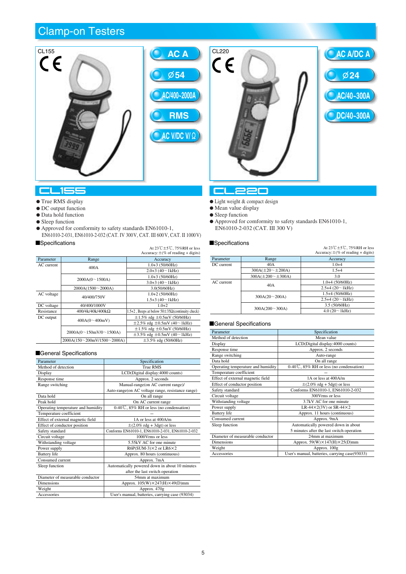



- $\bullet$  True RMS display
- $\bullet$  DC output function
- Data hold function
- Sleep function
- $\bullet$  Approved for comformity to safety standards EN61010-1, EN61010-2-031, EN61010-2-032 (CAT. IV 300V, CAT. III 600V, CAT. II 1000V)

#### $\blacksquare$ Specifications

|            |                               | At $23\degree$ C ± 5 $\degree$ C. 75%RH or less<br>Accuracy: $\pm$ (% of reading + digits) |
|------------|-------------------------------|--------------------------------------------------------------------------------------------|
| Parameter  | Range                         | Accuracy                                                                                   |
| AC current | 400A                          | $1.0+3(50/60Hz)$                                                                           |
|            |                               | $2.0+3$ (40 $\sim$ 1kHz)                                                                   |
|            | 2000A(0~1500A)                | $1.0 + 3(50/60)$ Hz)                                                                       |
|            |                               | $3.0+3$ (40 $\sim$ 1kHz)                                                                   |
|            | 2000A(1500~2000A)             | 3.0(50/60)Hz                                                                               |
| AC voltage |                               | $1.0+2(50/60Hz)$                                                                           |
|            | 40/400/750V                   | $1.5+3$ (40 $\sim$ 1kHz)                                                                   |
| DC voltage | 40/400/1000V                  | $1.0 + 2$                                                                                  |
| Resistance | $400/4k/40k/400k\Omega$       | 1.5+2, Beeps at below $50\pm 35\Omega$ (continuity check)                                  |
| DC output  |                               | $\pm 1.5\%$ rdg $\pm 0.5$ mV (50/60Hz)                                                     |
|            | 400A(0~100mV)                 | $\pm 2.5\%$ rdg $\pm 0.5$ mV (40~1kHz)                                                     |
|            |                               | $\pm 1.5\%$ rdg $\pm 0.5$ mV (50/60Hz)                                                     |
|            | 2000A(0~150mV/0~1500A)        | $\pm 3.5\%$ rdg $\pm 0.5$ mV (40~1kHz)                                                     |
|            | $2000A(150-200mV/1500-2000A)$ | $\pm 3.5\%$ rdg (50/60Hz)                                                                  |

#### General Specifications

| Parameter                          | Specification                                       |
|------------------------------------|-----------------------------------------------------|
| Method of detection                | <b>True RMS</b>                                     |
| Display                            | LCD(Digital display:4000 counts)                    |
| Response time                      | Approx. 2 seconds                                   |
| Range switching                    | Manual-range(on AC current range)/                  |
|                                    | Auto-range(on AC voltage range, resistance range)   |
| Data hold                          | On all range                                        |
| Peak hold                          | On AC current range                                 |
| Operating temperature and humidity | $0-40\degree$ , $85\%$ RH or less (no condensation) |
| Temperature coefficient            |                                                     |
| Effect of external magnetic field  | 1A or less at 400A/m                                |
| Effect of conductor position       | $\pm$ (2.0% rdg + 3dgt) or less                     |
| Safety standard                    | Conforms EN61010-1, EN61010-2-031, EN61010-2-032    |
| Circuit voltage                    | 1000 Vrms or less                                   |
| Withstanding voltage               | 5.55kV AC for one minute                            |
| Power supply                       | $R6P(SUM-3)\times 2$ or $LR6\times 2$               |
| <b>Battery</b> life                | Approx. 80 hours (continuous)                       |
| Consumed current                   | Approx. 7mA                                         |
| Sleep function                     | Automatically powered down in about 10 minutes      |
|                                    | after the last switch operation                     |
| Diameter of measurable conductor   | 54mm at maximum                                     |
| <b>Dimensions</b>                  | Approx. $105(W)\times 247(H)\times 49(D)$ mm        |
| Weight                             | Approx. 470g                                        |
| Accessories                        | User's manual, batteries, carrying case (93034)     |

### cuaan

- $\bullet$  Light weight  $\&$  compact design
- $\bullet$  Mean value display
- Sleep function
- Approved for comformity to safety standards EN61010-1, EN61010-2-032 (CAT. III 300 V)

## Specifications  $\mathsf{At}23\mathbb{C} \pm 5\mathbb{C}$ , 75%RH or less

|                |                               | $A(z)$ $\cup$ $\pm$ $\cup$ $\vee$ , $\vee$ $\vee$ $\wedge$ $\wedge$ $\wedge$ $\wedge$ $\wedge$ $\wedge$ $\wedge$ $\wedge$<br>Accuracy: $\pm$ (% of reading + digits) |
|----------------|-------------------------------|----------------------------------------------------------------------------------------------------------------------------------------------------------------------|
| Parameter      | Range                         | Accuracy                                                                                                                                                             |
| DC current     | 40A                           | $1.0 + 4$                                                                                                                                                            |
|                | $300A(\pm 20 \sim \pm 200A)$  | $1.5 + 4$                                                                                                                                                            |
|                | $300A(\pm 200 \sim \pm 300A)$ | 3.0                                                                                                                                                                  |
| AC current     |                               | $1.0+4(50/60Hz)$                                                                                                                                                     |
|                | 40A                           | $2.5+4(20~1kHz)$                                                                                                                                                     |
|                | 300A(20~200A)                 | $1.5+4(50/60Hz)$                                                                                                                                                     |
|                |                               | $2.5+4(20~1kHz)$                                                                                                                                                     |
| 300A(200~300A) |                               | 3.5(50/60)Hz                                                                                                                                                         |
|                |                               | $4.0(20 \sim 1kHz)$                                                                                                                                                  |

**AC/40~300A**

**DC/40~300A**

**24**

**AC A/DC A**

| Parameter                          | Specification                                    |
|------------------------------------|--------------------------------------------------|
| Method of detection                | Mean value                                       |
| Display                            | LCD(Digital display:4000 counts)                 |
| Response time                      | Approx. 2 seconds                                |
| Range switching                    | Auto-range                                       |
| Data hold                          | On all range                                     |
| Operating temperature and humidity | $0-40\degree$ , 85% RH or less (no condensation) |
| Temperature coefficient            |                                                  |
| Effect of external magnetic field  | 1A or less at 400A/m                             |
| Effect of conductor position       | $\pm$ (2.0% rdg + 5dgt) or less                  |
| Safety standard                    | Conforms EN61010-1, EN61010-2-032                |
| Circuit voltage                    | 300 Vrms or less                                 |
| Withstanding voltage               | 3.7kV AC for one minute.                         |
| Power supply                       | LR-44 $\times$ 2(3V) or SR-44 $\times$ 2         |
| <b>Battery</b> life                | Approx. 11 hours (continuous)                    |
| Consumed current                   | Approx. 9mA                                      |
| Sleep function                     | Automatically powered down in about              |
|                                    | 5 minutes after the last switch operation        |
| Diameter of measurable conductor   | 24mm at maximum                                  |
| <b>Dimensions</b>                  | Approx. $59(W) \times 147(H) \times 25(D)$ mm    |
| Weight                             | Approx. 100g                                     |
| Accessories                        | User's manual, batteries, carrying case(93033)   |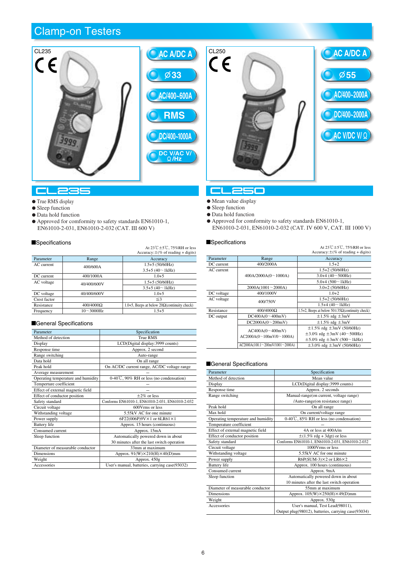

#### **CL** 235 ÷

#### $\bullet$  True RMS display

- Sleep function
- $\bullet$  Data hold function
- Approved for comformity to safety standards EN61010-1, EN61010-2-031, EN61010-2-032 (CAT. III 600 V)

#### $\blacksquare$ Specifications

|              |                  | At $23\text{°C}$ ±5 $\text{°C}$ , 75%RH or less<br>Accuracy: $\pm$ (% of reading + digits) |
|--------------|------------------|--------------------------------------------------------------------------------------------|
| Parameter    | Range            | Accuracy                                                                                   |
| AC current   | 400/600A         | $1.5+5(50/60)Hz$                                                                           |
|              |                  | $3.5+5(40~1kHz)$                                                                           |
| DC current   | 400/1000A        | $1.0 + 5$                                                                                  |
| AC voltage   | 40/400/600V      | $1.5+5(50/60)Hz$                                                                           |
|              |                  | $3.5+5(40~1kHz)$                                                                           |
| DC voltage   | 40/400/600V      | $1.0 + 5$                                                                                  |
| Crest factor |                  | $\leq$ 3                                                                                   |
| Resistance   | $400/4000\Omega$ | 1.0+5, Beeps at below $20\Omega$ (continuity check)                                        |
| Frequency    | $10 - 3000$ Hz   | $1.5 + 5$                                                                                  |

#### General Specifications

| Method of detection<br>True RMS<br>LCD(Digital display:3999 counts)<br>Display<br>Approx. 2 second<br>Response time<br>Range switching<br>Auto-range<br>Data hold<br>On all range<br>Peak hold<br>On AC/DC current range, AC/DC voltage range<br>Average measurement<br>$0-40\degree$ C, 90% RH or less (no condensation)<br>Operating temperature and humidity<br>Temperture coefficient<br>Effect of external magnetic field<br>Effect of conductor position<br>$+2\%$ or less<br>Conforms EN61010-1, EN61010-2-031, EN61010-2-032<br>Safety standard<br>600 Vrms or less<br>Circuit voltage<br>5.55kV AC for one minute<br>Withstanding voltage<br>6F22(006P)9V×1 or 6LR61×1<br>Power supply<br><b>Battery</b> life<br>Approx. 15 hours (continuous)<br>Consumed current<br>Approx. 15mA<br>Automatically powered down in about<br>Sleep function<br>30 minutes after the last switch operation<br>Diameter of measurable conductor<br>33mm at maximum<br><b>Dimensions</b><br>Approx. $91(W)\times210(H)\times40(D)$ mm | Parameter | Specification |
|-----------------------------------------------------------------------------------------------------------------------------------------------------------------------------------------------------------------------------------------------------------------------------------------------------------------------------------------------------------------------------------------------------------------------------------------------------------------------------------------------------------------------------------------------------------------------------------------------------------------------------------------------------------------------------------------------------------------------------------------------------------------------------------------------------------------------------------------------------------------------------------------------------------------------------------------------------------------------------------------------------------------------------|-----------|---------------|
|                                                                                                                                                                                                                                                                                                                                                                                                                                                                                                                                                                                                                                                                                                                                                                                                                                                                                                                                                                                                                             |           |               |
|                                                                                                                                                                                                                                                                                                                                                                                                                                                                                                                                                                                                                                                                                                                                                                                                                                                                                                                                                                                                                             |           |               |
|                                                                                                                                                                                                                                                                                                                                                                                                                                                                                                                                                                                                                                                                                                                                                                                                                                                                                                                                                                                                                             |           |               |
|                                                                                                                                                                                                                                                                                                                                                                                                                                                                                                                                                                                                                                                                                                                                                                                                                                                                                                                                                                                                                             |           |               |
|                                                                                                                                                                                                                                                                                                                                                                                                                                                                                                                                                                                                                                                                                                                                                                                                                                                                                                                                                                                                                             |           |               |
|                                                                                                                                                                                                                                                                                                                                                                                                                                                                                                                                                                                                                                                                                                                                                                                                                                                                                                                                                                                                                             |           |               |
|                                                                                                                                                                                                                                                                                                                                                                                                                                                                                                                                                                                                                                                                                                                                                                                                                                                                                                                                                                                                                             |           |               |
|                                                                                                                                                                                                                                                                                                                                                                                                                                                                                                                                                                                                                                                                                                                                                                                                                                                                                                                                                                                                                             |           |               |
|                                                                                                                                                                                                                                                                                                                                                                                                                                                                                                                                                                                                                                                                                                                                                                                                                                                                                                                                                                                                                             |           |               |
|                                                                                                                                                                                                                                                                                                                                                                                                                                                                                                                                                                                                                                                                                                                                                                                                                                                                                                                                                                                                                             |           |               |
|                                                                                                                                                                                                                                                                                                                                                                                                                                                                                                                                                                                                                                                                                                                                                                                                                                                                                                                                                                                                                             |           |               |
|                                                                                                                                                                                                                                                                                                                                                                                                                                                                                                                                                                                                                                                                                                                                                                                                                                                                                                                                                                                                                             |           |               |
|                                                                                                                                                                                                                                                                                                                                                                                                                                                                                                                                                                                                                                                                                                                                                                                                                                                                                                                                                                                                                             |           |               |
|                                                                                                                                                                                                                                                                                                                                                                                                                                                                                                                                                                                                                                                                                                                                                                                                                                                                                                                                                                                                                             |           |               |
|                                                                                                                                                                                                                                                                                                                                                                                                                                                                                                                                                                                                                                                                                                                                                                                                                                                                                                                                                                                                                             |           |               |
|                                                                                                                                                                                                                                                                                                                                                                                                                                                                                                                                                                                                                                                                                                                                                                                                                                                                                                                                                                                                                             |           |               |
|                                                                                                                                                                                                                                                                                                                                                                                                                                                                                                                                                                                                                                                                                                                                                                                                                                                                                                                                                                                                                             |           |               |
|                                                                                                                                                                                                                                                                                                                                                                                                                                                                                                                                                                                                                                                                                                                                                                                                                                                                                                                                                                                                                             |           |               |
|                                                                                                                                                                                                                                                                                                                                                                                                                                                                                                                                                                                                                                                                                                                                                                                                                                                                                                                                                                                                                             |           |               |
|                                                                                                                                                                                                                                                                                                                                                                                                                                                                                                                                                                                                                                                                                                                                                                                                                                                                                                                                                                                                                             |           |               |
|                                                                                                                                                                                                                                                                                                                                                                                                                                                                                                                                                                                                                                                                                                                                                                                                                                                                                                                                                                                                                             |           |               |
|                                                                                                                                                                                                                                                                                                                                                                                                                                                                                                                                                                                                                                                                                                                                                                                                                                                                                                                                                                                                                             | Weight    | Approx. 450g  |
| Accessories<br>User's manual, batteries, carrying case(93032)                                                                                                                                                                                                                                                                                                                                                                                                                                                                                                                                                                                                                                                                                                                                                                                                                                                                                                                                                               |           |               |

## CL250

- $\bullet$  Mean value display
- $\bullet$  Sleep function

 $CE<sub>250</sub>$ 

- Data hold function
- Approved for comformity to safety standards EN61010-1,
- EN61010-2-031, EN61010-2-032 (CAT. IV 600 V, CAT. III 1000 V)

**55**

**AC/400~2000A**

**DC/400~2000A**

**AC V/DC V/**  $\Omega$ 

**AC A/DC A**

## Specifications  $A_1 23\degree + 5\degree$ , 75%RH or less

|            |                                 | At $2J \cup LJ \cup MJ$ with the ress<br>Accuracy: $\pm$ (% of reading + digits) |
|------------|---------------------------------|----------------------------------------------------------------------------------|
| Parameter  | Range                           | Accuracy                                                                         |
| DC current | 400/2000A                       | $1.5 + 2$                                                                        |
| AC current |                                 | $1.5+2(50/60)Hz$                                                                 |
|            | 400A/2000A(0~1000A)             | $3.0+4(40 \sim 500 Hz)$                                                          |
|            |                                 | $5.0+4$ (500 $\sim$ 1kHz)                                                        |
|            | 2000A(1001~2000A)               | $3.0 + 2 (50/60)$ Hz)                                                            |
| DC voltage | 400/1000V                       | $1.0 + 2$                                                                        |
| AC voltage | 400/750V                        | $1.5+2(50/60Hz)$                                                                 |
|            |                                 | $1.5+4(40~1kHz)$                                                                 |
| Resistance | 400/4000Ω                       | 1.5+2, Beeps at below $50\pm 35\Omega$ (continuity check)                        |
| DC output  | DC400A(0~100mV)                 | $\pm 1.5\%$ rdg $\pm 3$ mV                                                       |
|            | DC2000A(0~200mV)                | $\pm 1.5\%$ rdg $\pm 3$ mV                                                       |
|            | AC400A(0~400mV)                 | $\pm 1.5\%$ rdg $\pm 3$ mV (50/60Hz)                                             |
|            | AC2000A(0~100mV/0~1000A)        | $\pm 3.0\%$ rdg $\pm 3$ mV (40~500Hz)                                            |
|            |                                 | $\pm 5.0\%$ rdg $\pm 3$ mV (500~1kHz)                                            |
|            | AC2000A(100.1~200mV/1001~2000A) | $\pm 3.0\%$ rdg $\pm 3$ mV (50/60Hz)                                             |

| Parameter                          | Specification                                       |
|------------------------------------|-----------------------------------------------------|
| Method of detection                | Mean value                                          |
| Display                            | LCD(Digital display:3999 counts)                    |
| Response time                      | Approx. 2 seconds                                   |
| Range switching                    | Manual-range(on current, voltage range)             |
|                                    | /Auto-range(on resistance range)                    |
| Peak hold                          | On all range                                        |
| Max hold                           | On current/voltage range                            |
| Operating temperature and humidity | $0-40\degree$ , $85\%$ RH or less (no condensation) |
| Temperature coefficient            |                                                     |
| Effect of external magnetic field  | 4A or less at 400A/m                                |
| Effect of conductor position       | $\pm$ (1.5% rdg + 3dgt) or less                     |
| Safety standard                    | Conforms EN61010-1, EN61010-2-031, EN61010-2-032    |
| Circuit voltage                    | 1000Vrms or less                                    |
| Withstanding voltage               | 5.55kV AC for one minute                            |
| Power supply                       | $R6P(SUM-3)\times 2$ or $LR6\times 2$               |
| <b>Battery</b> life                | Approx. 100 hours (continuous)                      |
| Consumed current                   | Approx. 9mA                                         |
| Sleep function                     | Automatically powered down in about                 |
|                                    | 10 minutes after the last switch operation          |
| Diameter of measurable conductor   | 55mm at maximum                                     |
| <b>Dimensions</b>                  | Approx. $105(W)\times 250(H)\times 49(D)$ mm        |
| Weight                             | Approx. 530g                                        |
| Accessories                        | User's manual, Test Lead(98011),                    |
|                                    | Output plug(98012), batteries, carrying case(93034) |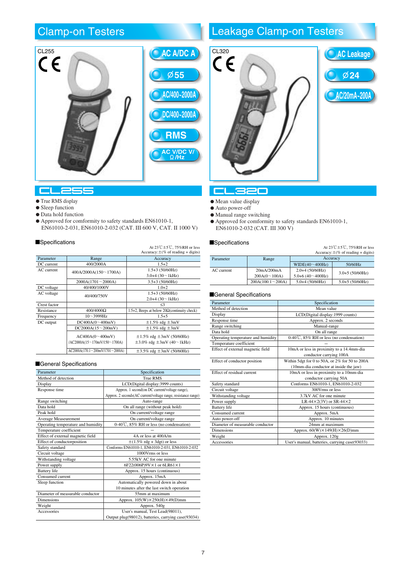

#### **CL25**

#### **•** True RMS display

- $\bullet$  Sleep function
- Data hold function
- Approved for comformity to safety standards EN61010-1,
- EN61010-2-031, EN61010-2-032 (CAT. III 600 V, CAT. II 1000 V)

#### $\blacksquare$ Specifications

|              |                                             | At $23\text{°C}$ ±5°C, 75%RH or less                      |
|--------------|---------------------------------------------|-----------------------------------------------------------|
|              |                                             | $Accuracy: \pm (\% \text{ of reading } + \text{ digits})$ |
| Parameter    | Range                                       | Accuracy                                                  |
| DC current   | 400/2000A                                   | $1.5 + 2$                                                 |
| AC current   | 400A/2000A(150~1700A)                       | $1.5+3(50/60Hz)$                                          |
|              |                                             | $3.0+4$ (30 $\sim$ 1kHz)                                  |
|              | $2000A(1701 \sim 2000A)$                    | $3.5+3(50/60)Hz$                                          |
| DC voltage   | 40/400/1000V                                | $1.0 + 2$                                                 |
| AC voltage   | 40/400/750V                                 | $1.5+3(50/60)Hz$                                          |
|              |                                             | $2.0+4(30~1kHz)$                                          |
| Crest factor |                                             | $\leq$ 3                                                  |
| Resistance   | 400/4000Ω                                   | 1.5+2, Beeps at below $20\Omega$ (continuity check)       |
| Frequency    | $10 - 3999$ Hz                              | $1.5 + 5$                                                 |
| DC output    | DC400A(0~400mV)                             | $\pm 1.5\%$ rdg $\pm 3$ mV                                |
|              | DC2000A(15~200mV)                           | $\pm 1.5\%$ rdg $\pm 3mV$                                 |
|              | AC400A(0~400mV)                             | $\pm 1.5\%$ rdg $\pm 3$ mV (50/60Hz)                      |
|              | /AC2000A(15~170mV/150~1700A)                | $\pm 3.0\%$ rdg $\pm 3$ mV (40~1kHz)                      |
|              | $AC2000A(170.1 \sim 200mV/1701 \sim 2000A)$ | $\pm 3.5\%$ rdg $\pm 3$ mV (50/60Hz)                      |

#### General Specifications

| Parameter                          | Specification                                                 |
|------------------------------------|---------------------------------------------------------------|
| Method of detection                | <b>True RMS</b>                                               |
| Display                            | LCD(Digital display:3999 counts)                              |
| Response time                      | Approx. 1 second(on DC current/voltage range),                |
|                                    | Approx. 2 seconds(AC current/voltage range, resistance range) |
| Range switching                    | Auto-range                                                    |
| Data hold                          | On all range (without peak hold)                              |
| Peak hold                          | On current/voltage range                                      |
| Average Measeurement               | On current/voltage range                                      |
| Operating temperature and humidity | $0-40\degree$ , $85\%$ RH or less (no condensation)           |
| Temperature coefficient            |                                                               |
| Effect of external magnetic field  | 4A or less at 400A/m                                          |
| Effect of conductorposition        | $\pm$ (1.5% rdg + 3dgt) or less                               |
| Safety standard                    | Conforms EN61010-1, EN61010-2-031, EN61010-2-032              |
| Circuit voltage                    | 1000 Vrms or less                                             |
| Withstanding voltage               | 5.55kV AC for one minute                                      |
| Power supply                       | 6F22(006P)9V×1 or 6LR61×1                                     |
| <b>Battery</b> life                | Approx. 15 hours (continuous)                                 |
| Consumed current                   | Approx. 15mA                                                  |
| Sleep function                     | Automatically powered down in about                           |
|                                    | 10 minutes after the last switch operation                    |
| Diameter of measurable conductor   | 55mm at maximum                                               |
| <b>Dimensions</b>                  | Approx. $105(W)\times 250(H)\times 49(D)$ mm                  |
| Weight                             | Approx. 540g                                                  |
| Accessories                        | User's manual, Test Lead(98011),                              |
|                                    | Output plug(98012), batteries, carrying case(93034)           |

# Leakage Clamp-on Testers



#### -320 m

- $\bullet$  Mean value display
- Auto power-off
- Manual range switching
- Approved for comformity to safety standards EN61010-1, EN61010-2-032 (CAT. III 300 V)

## Specifications  $\mathsf{At} 23\mathbb{C} \pm 5\mathbb{C}$ , 75%RH or less

|            |                   |                         | $1.11 - 1.000$ $-1.0000$ $-1.0000$ $-1.0000$<br>Accuracy: $\pm$ (% of reading + digits) |
|------------|-------------------|-------------------------|-----------------------------------------------------------------------------------------|
| Parameter  | Accuracy<br>Range |                         |                                                                                         |
|            |                   | WIDE $(40 \sim 400$ Hz) | 50/60Hz                                                                                 |
| AC current | 20mA/200mA        | $2.0 + 4(50/60)$ Hz)    | $3.0 + 5(50/60)$ Hz)                                                                    |
|            | 200A(0~100A)      | $5.0+6(40~400 Hz)$      |                                                                                         |
|            | 200A(100.1~200A)  | $5.0 + 4$ (50/60Hz)     | $5.0 + 5(50/60)$ Hz)                                                                    |

| Parameter                          | Specification                                  |
|------------------------------------|------------------------------------------------|
| Method of detection                | Mean value                                     |
| Display                            | LCD(Digital display: 1999 counts)              |
| Response time                      | Approx. 2 seconds                              |
| Range switching                    | Manual-range                                   |
| Data hold                          | On all range                                   |
| Operating temperature and humidity | 0-40°C, 85% RH or less (no condensation)       |
| Temperature coefficient            |                                                |
| Effect of external magnetic field  | 10mA or less in proximity to a 14.4mm-dia      |
|                                    | conductor carrying 100A                        |
| Effect of conductor position       | Within 5dgt for 0 to 50A, or 2% for 50 to 200A |
|                                    | (10mm-dia conductor at inside the jaw)         |
| Effect of residual current         | 10mA or less in proximity to a 10mm-dia        |
|                                    | conductor carrying 50A                         |
| Safety standard                    | Conforms EN61010-1, EN61010-2-032              |
| Circuit voltage                    | 300Vrms or less                                |
| Withstanding voltage               | 3.7kV AC for one minute                        |
| Power supply                       | LR-44 $\times$ 2(3V) or SR-44 $\times$ 2       |
| <b>Battery</b> life                | Approx. 15 hours (continuous)                  |
| Consumed current                   | Approx. 5mA                                    |
| Auto power-off                     | Approx. 10 minutes                             |
| Diameter of measurable conductor   | 24mm at maximum                                |
| <b>Dimensions</b>                  | Approx. $60(W) \times 149(H) \times 26(D)$ mm  |
| Weight                             | Approx. 120g                                   |
| Accessories                        | User's manual, batteries, carrying case(93033) |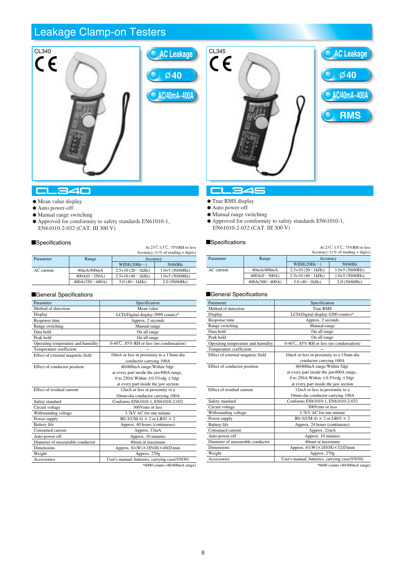# Leakage Clamp-on Testers



#### CL340

- $\bullet$  Mean value display
- Auto power-off
- Manual range switching
- Approved for comformity to safety standards EN61010-1, EN61010-2-032 (CAT. III 300 V)

## Specifications  $A_1 23\degree C + 5\degree C$ , 75%RH or less

|            |                 |                     | At $23 \cup 23 \cup 13$ with the ress<br>Accuracy: $\pm$ (% of reading + digits) |
|------------|-----------------|---------------------|----------------------------------------------------------------------------------|
| Parameter  | Range           | Accuracy            |                                                                                  |
|            |                 | $WIDE(20Hz\sim)$    | 50/60Hz                                                                          |
| AC current | 40mA/400mA      | $2.5+10(20~1kHz)$   | $1.0+5(50/60Hz)$                                                                 |
|            | 400A(0~350A)    | $2.5+10(40-1kHz)$   | $1.0+5(50/60)Hz$                                                                 |
|            | 400A(350~ 400A) | $5.0(40 \sim 1kHz)$ | 2.0(50/60Hz)                                                                     |

#### General Specifications

| Parameter                          | Specification                                        |
|------------------------------------|------------------------------------------------------|
| Method of detection                | Mean value                                           |
| Display                            | LCD(Digital display:3999 counts)*                    |
| Response time                      | Approx. 2 seconds                                    |
| Range switching                    | Manual-range                                         |
| Data hold                          | On all range                                         |
| Peak hold                          | On all range                                         |
| Operating temperature and humidity | $0-40\degree$ C, $85\%$ RH or less (no condensation) |
| Temperature coefficient            |                                                      |
| Effect of external magnetic field  | 10mA or less in proximity to a 15mm-dia              |
|                                    | conductor carrying 100A                              |
| Effect of conductor position       | 40/400mA range: Within 5dgt                          |
|                                    | at every part inside the jaw400A range,              |
|                                    | 0 to 250A: Within $\pm 0.5\%$ rdg $\pm 5$ dgt        |
|                                    | at every part inside the jaw section                 |
| Effect of residual current         | 12mA or less in proximity to a                       |
|                                    | 10mm-dia conductor carrying 100A                     |
| Safety standard                    | Conforms EN61010-1, EN61010-2-032                    |
| Circuit voltage                    | 300 Vrms or less                                     |
| Withstanding voltage               | 3.7kV AC for one minute                              |
| Power supply                       | R0-3(UM-4) $\times$ 2 or LR03 $\times$ 2             |
| <b>Battery</b> life                | Approx. 40 hours (continuous)                        |
| Consumed current                   | Approx. 13mA                                         |
| Auto power-off                     | Approx. 10 minutes                                   |
| Diameter of measurable conductor   | 40mm at maximum                                      |
| <b>Dimensions</b>                  | Approx. $81(W) \times 185(H) \times 40(D)$ mm        |
| Weight                             | Approx. 270g                                         |
| Accessories                        | User's manual, batteries, carrying case(93030)       |
|                                    | $0.6000 + 0.01000 + 0.0000$                          |

\*6000 counts (40/400mA range)



#### **CL345**

- **True RMS display**
- Auto power-off
- Manual range switching
- Approved for comformity to safety standards EN61010-1, EN61010-2-032 (CAT. III 300 V)

## Specifications  $\mathsf{At} \, 23\mathbb{C} \pm 5\mathbb{C}$ , 75%RH or less

|            |                   |                   | $1.11 - 1.00$ $-1.00$ $-1.00$ $-1.00$ $-1.00$ $-1.00$ $-1.00$ $-1.00$ $-1.00$ $-1.00$ $-1.00$ $-1.00$ $-1.00$ $-1.00$ $-1.00$ $-1.00$ $-1.00$ $-1.00$ $-1.00$ $-1.00$ $-1.00$ $-1.00$ $-1.00$ $-1.00$ $-1.00$ $-1.00$ $-1.00$<br>Accuracy: $\pm$ (% of reading + digits) |
|------------|-------------------|-------------------|--------------------------------------------------------------------------------------------------------------------------------------------------------------------------------------------------------------------------------------------------------------------------|
| Parameter  | Range<br>Accuracy |                   |                                                                                                                                                                                                                                                                          |
|            |                   | WIDE $(20Hz\sim)$ | 50/60Hz                                                                                                                                                                                                                                                                  |
| AC current | 40mA/400mA        | $2.5+10(20~1kHz)$ | $1.0+5(50/60Hz)$                                                                                                                                                                                                                                                         |
|            | 400A(0~300A)      | $2.5+10(40~1kHz)$ | $1.0+5(50/60)Hz$                                                                                                                                                                                                                                                         |
|            | $400A(300-400A)$  | 5.0(40~1kHz)      | 2.0(50/60)Hz                                                                                                                                                                                                                                                             |

| Parameter                          | Specification                                  |
|------------------------------------|------------------------------------------------|
| Method of detection                | True RMS                                       |
| Display                            | LCD(Digital display:4200 counts)*              |
| Response time                      | Approx. 2 seconds                              |
| Range switching                    | Manual-range                                   |
| Data hold                          | On all range                                   |
| Peak hold                          | On all range                                   |
| Operating temperature and humidity | 0-40°C, 85% RH or less (no condensation)       |
| Temperature coefficient            |                                                |
| Effect of external magnetic field  | 10mA or less in proximity to a 15mm-dia        |
|                                    | conductor carrying 100A                        |
| Effect of conductor position       | 40/400mA range: Within 5dgt                    |
|                                    | at every part inside the jaw400A range,        |
|                                    | 0 to 250A: Within $\pm 0.5\%$ rdg $\pm 5$ dgt  |
|                                    | at every part inside the jaw section           |
| Effect of residual current         | 12mA or less in proximity to a                 |
|                                    | 10mm-dia conductor carrying 100A               |
| Safety standard                    | Conforms EN61010-1, EN61010-2-032              |
| Circuit voltage                    | 300 Vrms or less                               |
| Withstanding voltage               | 3.7kV AC for one minute                        |
| Power supply                       | $R0-3$ (UM-4) $\times$ 2 or LR03 $\times$ 2    |
| <b>Battery</b> life                | Approx. 24 hours (continuous)                  |
| Consumed current                   | Approx. 21mA                                   |
| Auto power-off                     | Approx. 10 minutes                             |
| Diameter of measurable conductor   | 40mm at maximum                                |
| <b>Dimensions</b>                  | Approx. $81(W) \times 185(H) \times 32(D)$ mm  |
| Weight                             | Approx. 270g                                   |
| Accessories                        | User's manual, batteries, carrying case(93030) |
|                                    | *6000 counts (40/400mA range)                  |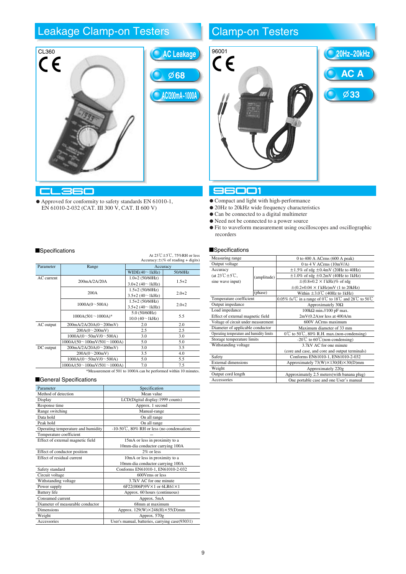## Leakage Clamp-on Testers **Clamp-on Testers**



 Approved for conformity to safety standards EN 61010-1, EN 61010-2-032 (CAT. III 300 V, CAT. II 600 V)

# **AC/200mA~1000A 68**



## 96001

- Compact and light with high-performance
- 20Hz to 20kHz wide frequency characteristics
- Can be connected to a digital multimeter
- Need not be connected to a power source
- Fit to waveform measurement using oscilloscopes and oscillographic recorders

#### **Specifications**

| Measuring range                                |             | 0 to 400 A ACrms $(600 \text{ A peak})$                                                        |  |
|------------------------------------------------|-------------|------------------------------------------------------------------------------------------------|--|
| Output voltage                                 |             | 0 to 4 V ACrms (10mV/A)                                                                        |  |
| Accuracy                                       |             | $\pm 1.5\%$ of rdg $\pm 0.4$ mV (20Hz to 40Hz)                                                 |  |
| (at $23^\circ \text{C} \pm 5^\circ \text{C}$ , | (amplitude) | $\pm 1.0\%$ of rdg $\pm 0.2$ mV (40Hz to 1kHz)                                                 |  |
| sine wave input)                               |             | $\pm (0.8 + 0.2 \times f \text{ kHz})\%$ of rdg                                                |  |
|                                                |             | $\pm (0.2 + 0.04 \times f \text{ kHz})$ mV (1 to 20kHz)                                        |  |
|                                                | (phase)     | Within $\pm 3.0^{\circ}$ (40Hz to 1kHz)                                                        |  |
| Temperature coefficient                        |             | 0.05% fs/ $\degree$ in a range of 0 $\degree$ to 18 $\degree$ and 28 $\degree$ to 50 $\degree$ |  |
| Output impedance                               |             | Approximately $30\Omega$                                                                       |  |
| Load impedance                                 |             | $100k\Omega$ min.//100 pF max.                                                                 |  |
| Effect of external magnetic field              |             | $2mV(0.2A)$ or less at $400A/m$                                                                |  |
| Voltage of circuit under measurement           |             | 600V ACrms maximum                                                                             |  |
| Diameter of applicable conductor               |             | Maximum diameter of 33 mm                                                                      |  |
| Operating temperature and humidity limits      |             | $0^{\circ}$ to 50 $^{\circ}$ C, 80% R.H. max.(non-condensing)                                  |  |
| Storage temperature limits                     |             | -20° $\mathbb C$ to 60° $\mathbb C$ (non-condensing)                                           |  |
| Withstanding voltage                           |             | 3.7kV AC for one minute                                                                        |  |
|                                                |             | (core and case, and core and output terminals)                                                 |  |
| Safety                                         |             | Conforms EN61010-1, EN61010-2-032                                                              |  |
| <b>External dimensions</b>                     |             | Approximately $73(W) \times 130(H) \times 30(D)$ mm                                            |  |
| Weight                                         |             | Approximately 220g                                                                             |  |
| Output cord length                             |             | Approximately 2.5 meters(with banana plug)                                                     |  |
| Accessories                                    |             | One portable case and one User's manual                                                        |  |

## Specifications  $At 23\degree ± 5\degree.75\% RH$  or less

CL360

|            |                                            |                        | Accuracy: $\pm$ (% of reading + digits) |
|------------|--------------------------------------------|------------------------|-----------------------------------------|
| Parameter  | Range<br>Accuracy                          |                        |                                         |
|            |                                            | $WIDE(40 \sim 1kHz)$   | 50/60Hz                                 |
| AC current | 200mA/2A/20A                               | $1.0+2(50/60Hz)$       |                                         |
|            |                                            | $3.0+2(40~1kHz)$       | $1.5 + 2$                               |
|            | 200A                                       | $1.5+2(50/60)Hz$       |                                         |
|            |                                            | $3.5+2(40~1kHz)$       | $2.0 + 2$                               |
|            |                                            | $1.5+2(50/60)Hz$       |                                         |
|            |                                            | $3.5+2(40~1kHz)$       |                                         |
|            |                                            | 5.0(50/60Hz)           |                                         |
|            |                                            | $10.0 (40 \sim 1$ kHz) |                                         |
| AC output  | 200mA/2A/20A(0~200mV)                      | 2.0                    | 2.0                                     |
|            | $200A(0^{\sim}200mV)$                      | 2.5                    | 2.5                                     |
|            | 1000A/(0~50mV/0~500A)                      | 3.0                    | 3.0                                     |
|            | $1000A/(50 \sim 100mV/501 \sim 1000A)$     | 5.0                    | 5.0                                     |
| DC output  | 200mA/2A/20A(0~200mV)                      | 3.0                    | 3.5                                     |
|            | $200A(0^{\sim}200mV)$                      | 3.5                    | 4.0                                     |
|            | 1000A/(0~50mV/0~500A)                      | 5.0                    | 5.5                                     |
|            | $1000A/(50 \sim 100mV/501 \sim 1000A)$     | 7.0                    | 7.5                                     |
|            | 1000A(0~500A)<br>$1000A(501 \sim 1000A)^*$ |                        | $2.0 + 2$<br>5.5                        |

\*Measurement of 501 to 1000A can be performed within 10 minutes.

| Parameter                          | Specification                                        |
|------------------------------------|------------------------------------------------------|
| Method of detection                | Mean value                                           |
| Display                            | LCD(Digital display: 1999 counts)                    |
| Response time                      | Approx. 1 second                                     |
| Range switching                    | Manual-range                                         |
| Data hold                          | On all range                                         |
| Peak hold                          | On all range                                         |
| Operating temperature and humidity | -10-50 $\degree$ C, 80% RH or less (no condensation) |
| Temperature coefficient            |                                                      |
| Effect of external magnetic field  | 15mA or less in proximity to a                       |
|                                    | 10mm-dia conductor carrying 100A                     |
| Effect of conductor position       | $2\%$ or less                                        |
| Effect of residual current         | 10mA or less in proximity to a                       |
|                                    | 10mm-dia conductor carrying 100A                     |
| Safety standard                    | Conforms EN61010-1, EN61010-2-032                    |
| Circuit voltage                    | 600 Vrms or less                                     |
| Withstanding voltage               | 3.7kV AC for one minute                              |
| Power supply                       | 6F22(006P)9V×1 or 6LR61×1                            |
| <b>Battery</b> life                | Approx. 60 hours (continuous)                        |
| Consumed current                   | Approx. 5mA                                          |
| Diameter of measurable conductor   | 68mm at maximum                                      |
| <b>Dimensions</b>                  | Approx. $129(W)\times 248(H)\times 55(D)$ mm         |
| Weight                             | Approx. 570g                                         |
| Accessories                        | User's manual, batteries, carrying case(93031)       |